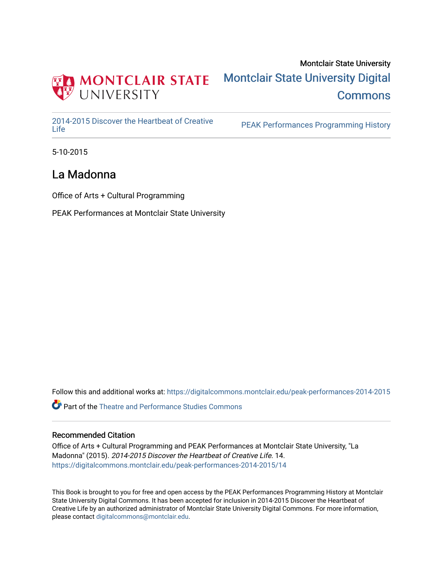

# Montclair State University [Montclair State University Digital](https://digitalcommons.montclair.edu/)  **Commons**

[2014-2015 Discover the Heartbeat of Creative](https://digitalcommons.montclair.edu/peak-performances-2014-2015) 

PEAK Performances Programming History

5-10-2015

# La Madonna

Office of Arts + Cultural Programming

PEAK Performances at Montclair State University

Follow this and additional works at: [https://digitalcommons.montclair.edu/peak-performances-2014-2015](https://digitalcommons.montclair.edu/peak-performances-2014-2015?utm_source=digitalcommons.montclair.edu%2Fpeak-performances-2014-2015%2F14&utm_medium=PDF&utm_campaign=PDFCoverPages) 

Part of the [Theatre and Performance Studies Commons](http://network.bepress.com/hgg/discipline/552?utm_source=digitalcommons.montclair.edu%2Fpeak-performances-2014-2015%2F14&utm_medium=PDF&utm_campaign=PDFCoverPages) 

# Recommended Citation

Office of Arts + Cultural Programming and PEAK Performances at Montclair State University, "La Madonna" (2015). 2014-2015 Discover the Heartbeat of Creative Life. 14. [https://digitalcommons.montclair.edu/peak-performances-2014-2015/14](https://digitalcommons.montclair.edu/peak-performances-2014-2015/14?utm_source=digitalcommons.montclair.edu%2Fpeak-performances-2014-2015%2F14&utm_medium=PDF&utm_campaign=PDFCoverPages)

This Book is brought to you for free and open access by the PEAK Performances Programming History at Montclair State University Digital Commons. It has been accepted for inclusion in 2014-2015 Discover the Heartbeat of Creative Life by an authorized administrator of Montclair State University Digital Commons. For more information, please contact [digitalcommons@montclair.edu.](mailto:digitalcommons@montclair.edu)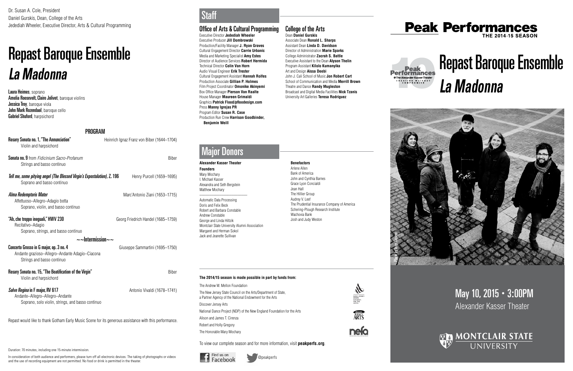May 10, 2015 · 3:00PM Alexander Kasser Theater



# Photo by Inigo Garayo

# Repast Baroque Ensemble *La Madonna*



**Founders** Mary Mochary I. Michael Kasser Alexandra and Seth Bergstein Matthew Mochary  $\overline{\phantom{a}}$  , where  $\overline{\phantom{a}}$  , where  $\overline{\phantom{a}}$  , where  $\overline{\phantom{a}}$ 

Executive Director **Jedediah Wheeler** Executive Producer **Jill Dombrowski** Production/Facility Manager **J. Ryan Graves** Cultural Engagement Director **Carrie Urbanic** Media and Marketing Specialist **Amy Estes** Director of Audience Services **Robert Hermida** Technical Director **Colin Van Horn** Audio Visual Engineer **Erik Trester** Cultural Engagement Assistant **Hannah Rolfes**  Production Associate **Gillian P. Holmes**  Film Project Coordinator **Omonike Akinyemi** Box Office Manager **Pierson Van Raalte** House Manager **Maureen Grimaldi** Graphics **Patrick Flood/pfloodesign.com** Press **Manny Igrejas PR** Program Editor **Susan R. Case** Production Run Crew **Harrison Goodbinder, Benjamin Weill**

@peakperfs

# **Alexander Kasser Theater**

Automatic Data Processing Doris and Felix Beck Robert and Barbara Constable Andrew Constable George and Linda Hiltzik Montclair State University Alumni Association Margaret and Herman Sokol Jack and Jeanette Sullivan

Laura Heimes, soprano Amelia Roosevelt, Claire Jolivet, baroque violins Jessica Troy, baroque viola John Mark Rozendaal, baroque cello Gabriel Shuford, harpsichord

# **DDOCDAM**

**Benefactors**

# Arlene Allen Bank of America John and Cynthia Barnes Grace Lyon Concialdi

Jean Hall The Hillier Group Audrey V. Leef The Prudential Insurance Company of America Schering-Plough Research Institute Wachovia Bank Josh and Judy Weston

# Major Donors

# **The 2014/15 season is made possible in part by funds from:**

The Andrew W. Mellon Foundation The New Jersey State Council on the Arts/Department of State, a Partner Agency of the National Endowment for the Arts Discover Jersey Arts National Dance Project (NDP) of the New England Foundation for the Arts Alison and James T. Cirenza Robert and Holly Gregory The Honorable Mary Mochary

**Contract Contract Contract** 



**nefo** 

| ויוחוטשוו                                                                                                                |                                            |
|--------------------------------------------------------------------------------------------------------------------------|--------------------------------------------|
| <b>Rosary Sonata no. 1, "The Annunciation"</b><br>Violin and harpsichord                                                 | Heinrich Ignaz Franz von Biber (1644-1704) |
| Sonata no. 9 from Fidicinium Sacro-Profanum<br>Strings and basso continuo                                                | <b>Biber</b>                               |
| Tell me, some pitying angel (The Blessed Virgin's Expostulation), Z. 196<br>Soprano and basso continuo                   | Henry Purcell (1659-1695)                  |
| Alma Redemptoris Mater<br>Affettuoso-Allegro-Adagio botta<br>Soprano, violin, and basso continuo                         | Marc'Antonio Ziani (1653-1715)             |
| "Ah, che troppo ineguali," HWV 230<br>Recitativo-Adagio<br>Soprano, strings, and basso continuo                          | Georg Friedrich Handel (1685-1759)         |
| $\sim$ ~Intermission~~                                                                                                   |                                            |
| Concerto Grosso in G major, op. 3 no. 4<br>Andante grazioso-Allegro-Andante Adagio-Ciacona<br>Strings and basso continuo | Giuseppe Sammartini (1695-1750)            |
| Rosary Sonata no. 15, "The Beatification of the Virgin"<br>Violin and harpsichord                                        | <b>Biber</b>                               |
| Salve Regina in F major, RV 617<br>Andante-Allegro-Allegro-Andante<br>Soprano, solo violin, strings, and basso continuo  | Antonio Vivaldi (1678-1741)                |

To view our complete season and for more information, visit **peakperfs.org**.

# **Peak Performances**

# College of the Arts Dean **Daniel Gurskis**

Associate Dean **Ronald L. Sharps** Assistant Dean **Linda D. Davidson** Director of Administration **Marie Sparks** College Administrator **Zacrah S. Battle** Executive Assistant to the Dean **Alyson Thelin** Program Assistant **Kilolo Kumanyika** Art and Design **Aissa Deebi** John J. Cali School of Music **Jon Robert Cart** School of Communication and Media **Merrill Brown** Theatre and Dance **Randy Mugleston** Broadcast and Digital Media Facilities **Nick Tzanis** University Art Galleries **Teresa Rodriguez**



# Repast Baroque Ensemble *La Madonna*

Duration: 70 minutes, including one 15-minute intermission.

In consideration of both audience and performers, please turn off all electronic devices. The taking of photographs or videos and the use of recording equipment are not permitted. No food or drink is permitted in the theater.

Find us on<br>Facebook



Repast would like to thank Gotham Early Music Scene for its generous assistance with this performance.

**Staff**